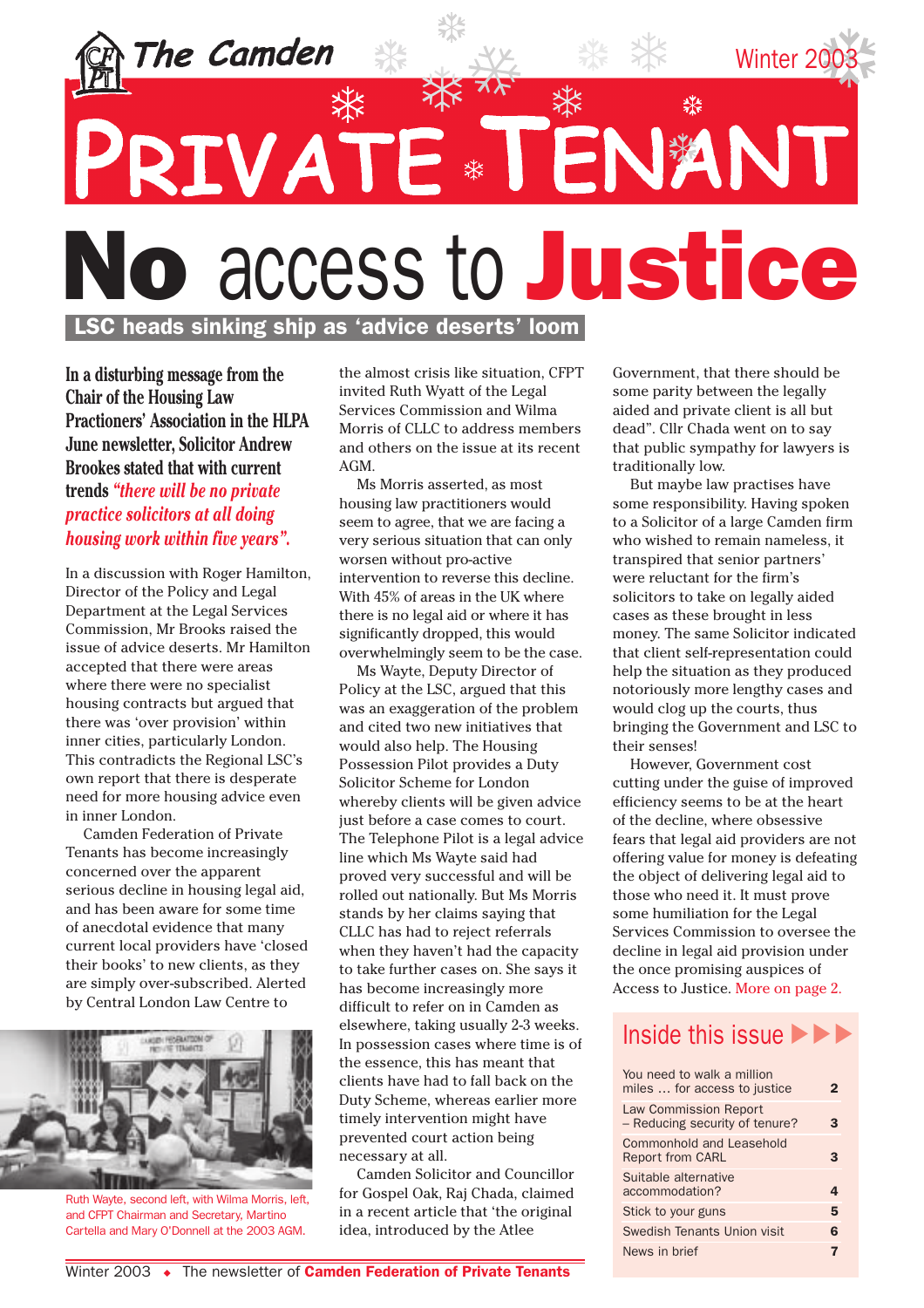

LSC heads sinking ship as 'advice deserts' loom

**In a disturbing message from the Chair of the Housing Law Practioners' Association in the HLPA June newsletter, Solicitor Andrew Brookes stated that with current trends** *"there will be no private practice solicitors at all doing housing work within five years"***.**

In a discussion with Roger Hamilton, Director of the Policy and Legal Department at the Legal Services Commission, Mr Brooks raised the issue of advice deserts. Mr Hamilton accepted that there were areas where there were no specialist housing contracts but argued that there was 'over provision' within inner cities, particularly London. This contradicts the Regional LSC's own report that there is desperate need for more housing advice even in inner London.

Camden Federation of Private Tenants has become increasingly concerned over the apparent serious decline in housing legal aid, and has been aware for some time of anecdotal evidence that many current local providers have 'closed their books' to new clients, as they are simply over-subscribed. Alerted by Central London Law Centre to



Ruth Wayte, second left, with Wilma Morris, left, and CFPT Chairman and Secretary, Martino Cartella and Mary O'Donnell at the 2003 AGM.

the almost crisis like situation, CFPT invited Ruth Wyatt of the Legal Services Commission and Wilma Morris of CLLC to address members and others on the issue at its recent AGM.

Ms Morris asserted, as most housing law practitioners would seem to agree, that we are facing a very serious situation that can only worsen without pro-active intervention to reverse this decline. With 45% of areas in the UK where there is no legal aid or where it has significantly dropped, this would overwhelmingly seem to be the case.

Ms Wayte, Deputy Director of Policy at the LSC, argued that this was an exaggeration of the problem and cited two new initiatives that would also help. The Housing Possession Pilot provides a Duty Solicitor Scheme for London whereby clients will be given advice just before a case comes to court. The Telephone Pilot is a legal advice line which Ms Wayte said had proved very successful and will be rolled out nationally. But Ms Morris stands by her claims saying that CLLC has had to reject referrals when they haven't had the capacity to take further cases on. She says it has become increasingly more difficult to refer on in Camden as elsewhere, taking usually 2-3 weeks. In possession cases where time is of the essence, this has meant that clients have had to fall back on the Duty Scheme, whereas earlier more timely intervention might have prevented court action being necessary at all.

Camden Solicitor and Councillor for Gospel Oak, Raj Chada, claimed in a recent article that 'the original idea, introduced by the Atlee

Government, that there should be some parity between the legally aided and private client is all but dead". Cllr Chada went on to say that public sympathy for lawyers is traditionally low.

But maybe law practises have some responsibility. Having spoken to a Solicitor of a large Camden firm who wished to remain nameless, it transpired that senior partners' were reluctant for the firm's solicitors to take on legally aided cases as these brought in less money. The same Solicitor indicated that client self-representation could help the situation as they produced notoriously more lengthy cases and would clog up the courts, thus bringing the Government and LSC to their senses!

However, Government cost cutting under the guise of improved efficiency seems to be at the heart of the decline, where obsessive fears that legal aid providers are not offering value for money is defeating the object of delivering legal aid to those who need it. It must prove some humiliation for the Legal Services Commission to oversee the decline in legal aid provision under the once promising auspices of Access to Justice. More on page 2.

# Inside this issue

| You need to walk a million<br>miles  for access to justice     | $\mathbf{2}$ |
|----------------------------------------------------------------|--------------|
| <b>Law Commission Report</b><br>- Reducing security of tenure? | 3            |
| Commonhold and Leasehold<br><b>Report from CARL</b>            | 3            |
| Suitable alternative<br>accommodation?                         | 4            |
| Stick to your guns                                             | 5            |
| Swedish Tenants Union visit                                    | 6            |
| News in brief                                                  |              |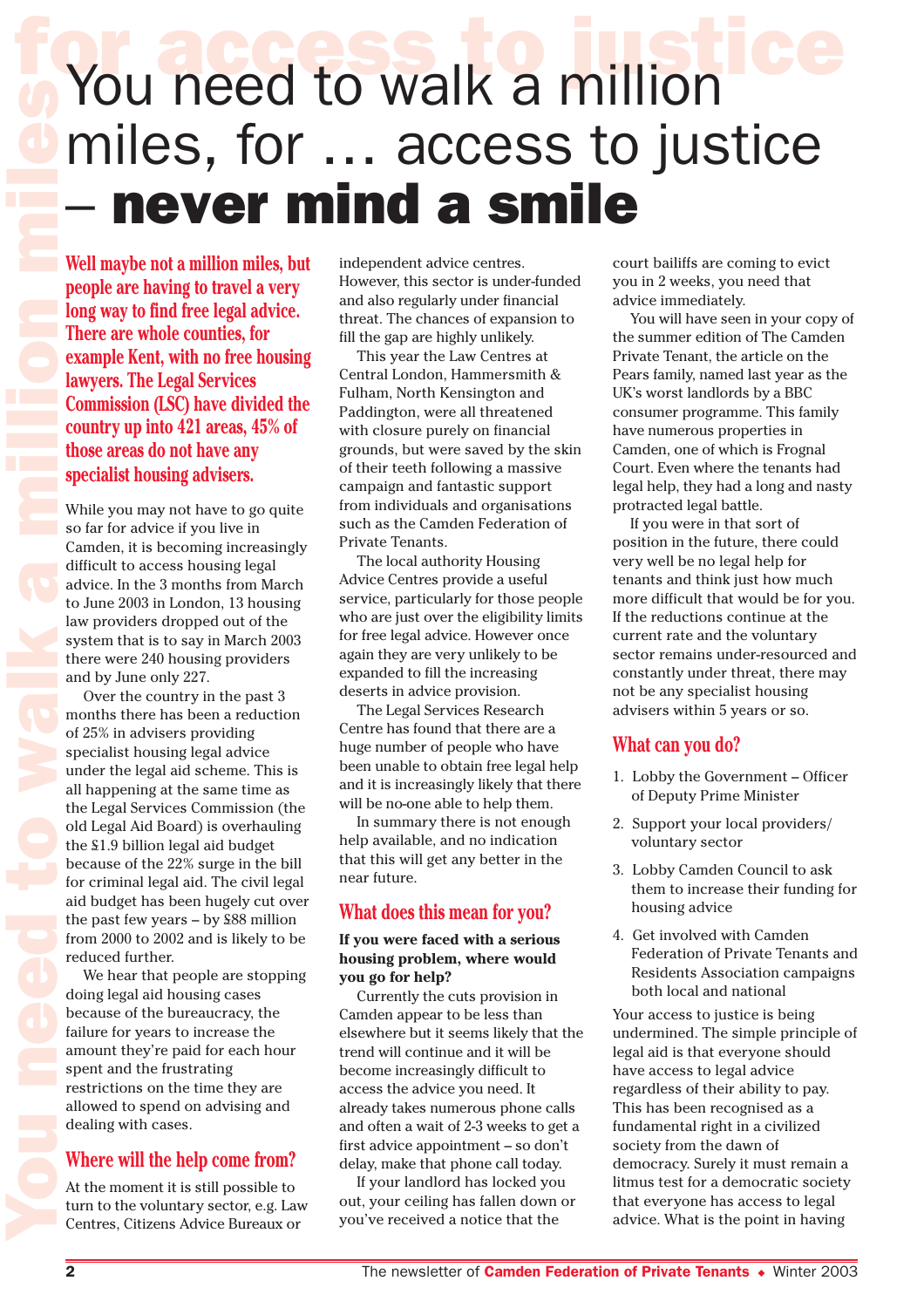# **YOU NEED S, for a manufacture of the set of the set of the set of the set of the set of the set of the set of the set of the set of the set of the set of the set of the set of the set of the set of the set of the set of** miles, for … access to justice – never mind a smile

**Well maybe not a million miles, but people are having to travel a very long way to find free legal advice. There are whole counties, for example Kent, with no free housing lawyers. The Legal Services Commission (LSC) have divided the country up into 421 areas, 45% of those areas do not have any specialist housing advisers.**

While you may not have to go quite so far for advice if you live in Camden, it is becoming increasingly difficult to access housing legal advice. In the 3 months from March to June 2003 in London, 13 housing law providers dropped out of the system that is to say in March 2003 there were 240 housing providers and by June only 227.

Over the country in the past 3 months there has been a reduction of 25% in advisers providing specialist housing legal advice under the legal aid scheme. This is all happening at the same time as the Legal Services Commission (the old Legal Aid Board) is overhauling the £1.9 billion legal aid budget because of the 22% surge in the bill for criminal legal aid. The civil legal aid budget has been hugely cut over the past few years – by £88 million from 2000 to 2002 and is likely to be reduced further.

We hear that people are stopping doing legal aid housing cases because of the bureaucracy, the failure for years to increase the amount they're paid for each hour spent and the frustrating restrictions on the time they are allowed to spend on advising and dealing with cases.

#### **Where will the help come from?**

At the moment it is still possible to turn to the voluntary sector, e.g. Law Centres, Citizens Advice Bureaux or turn to the voluntary sector, e.g. Law out, your ceiling has fallen down or that everyone has access to legal Centres, Citizens Advice Bureaux or you've received a notice that the advice. What is the point in having

independent advice centres. However, this sector is under-funded and also regularly under financial threat. The chances of expansion to fill the gap are highly unlikely.

This year the Law Centres at Central London, Hammersmith & Fulham, North Kensington and Paddington, were all threatened with closure purely on financial grounds, but were saved by the skin of their teeth following a massive campaign and fantastic support from individuals and organisations such as the Camden Federation of Private Tenants.

The local authority Housing Advice Centres provide a useful service, particularly for those people who are just over the eligibility limits for free legal advice. However once again they are very unlikely to be expanded to fill the increasing deserts in advice provision.

The Legal Services Research Centre has found that there are a huge number of people who have been unable to obtain free legal help and it is increasingly likely that there will be no-one able to help them.

In summary there is not enough help available, and no indication that this will get any better in the near future.

#### **What does this mean for you?**

#### **If you were faced with a serious housing problem, where would you go for help?**

Currently the cuts provision in Camden appear to be less than elsewhere but it seems likely that the trend will continue and it will be become increasingly difficult to access the advice you need. It already takes numerous phone calls and often a wait of 2-3 weeks to get a first advice appointment – so don't delay, make that phone call today.

If your landlord has locked you out, your ceiling has fallen down or you've received a notice that the

court bailiffs are coming to evict you in 2 weeks, you need that advice immediately.

You will have seen in your copy of the summer edition of The Camden Private Tenant, the article on the Pears family, named last year as the UK's worst landlords by a BBC consumer programme. This family have numerous properties in Camden, one of which is Frognal Court. Even where the tenants had legal help, they had a long and nasty protracted legal battle.

If you were in that sort of position in the future, there could very well be no legal help for tenants and think just how much more difficult that would be for you. If the reductions continue at the current rate and the voluntary sector remains under-resourced and constantly under threat, there may not be any specialist housing advisers within 5 years or so.

#### **What can you do?**

- 1. Lobby the Government Officer of Deputy Prime Minister
- 2. Support your local providers/ voluntary sector
- 3. Lobby Camden Council to ask them to increase their funding for housing advice
- 4. Get involved with Camden Federation of Private Tenants and Residents Association campaigns both local and national

Your access to justice is being undermined. The simple principle of legal aid is that everyone should have access to legal advice regardless of their ability to pay. This has been recognised as a fundamental right in a civilized society from the dawn of democracy. Surely it must remain a litmus test for a democratic society advice. What is the point in having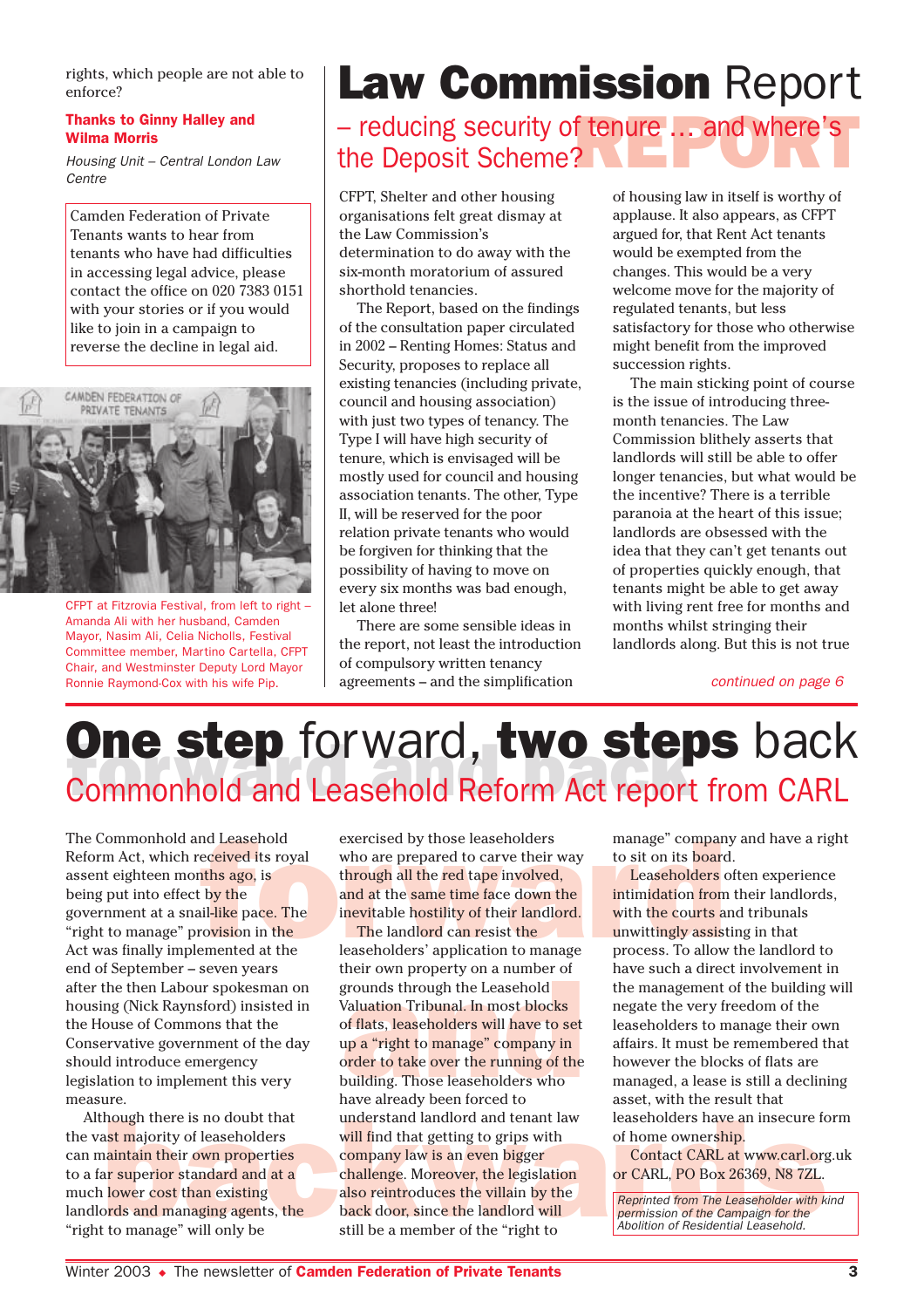rights, which people are not able to enforce?

#### Thanks to Ginny Halley and Wilma Morris

Housing Unit – Central London Law **Centre** 

Camden Federation of Private Tenants wants to hear from tenants who have had difficulties in accessing legal advice, please contact the office on 020 7383 0151 with your stories or if you would like to join in a campaign to reverse the decline in legal aid.



CFPT at Fitzrovia Festival, from left to right – Amanda Ali with her husband, Camden Mayor, Nasim Ali, Celia Nicholls, Festival Committee member, Martino Cartella, CFPT Chair, and Westminster Deputy Lord Mayor Ronnie Raymond-Cox with his wife Pip.

# **Law Commission Report**

# – reducing security of tenure … and where's –<br>the Deposit Scheme? the Deposit Scheme?

CFPT, Shelter and other housing organisations felt great dismay at the Law Commission's determination to do away with the six-month moratorium of assured shorthold tenancies.

The Report, based on the findings of the consultation paper circulated in 2002 – Renting Homes: Status and Security, proposes to replace all existing tenancies (including private, council and housing association) with just two types of tenancy. The Type I will have high security of tenure, which is envisaged will be mostly used for council and housing association tenants. The other, Type II, will be reserved for the poor relation private tenants who would be forgiven for thinking that the possibility of having to move on every six months was bad enough, let alone three!

There are some sensible ideas in the report, not least the introduction of compulsory written tenancy agreements – and the simplification

of housing law in itself is worthy of applause. It also appears, as CFPT argued for, that Rent Act tenants would be exempted from the changes. This would be a very welcome move for the majority of regulated tenants, but less satisfactory for those who otherwise might benefit from the improved succession rights.

The main sticking point of course is the issue of introducing threemonth tenancies. The Law Commission blithely asserts that landlords will still be able to offer longer tenancies, but what would be the incentive? There is a terrible paranoia at the heart of this issue; landlords are obsessed with the idea that they can't get tenants out of properties quickly enough, that tenants might be able to get away with living rent free for months and months whilst stringing their landlords along. But this is not true

continued on page 6

# **UNE STED IOTWATO, TWO STEPS DACK**<br>Commonhold and Leasehold Reform Act report from CARL **One step forward, two steps back**

The Commonhold and Leasehold Reform Act, which received its royal assent eighteen months ago, is being put into effect by the government at a snail-like pace. The "right to manage" provision in the Act was finally implemented at the end of September – seven years after the then Labour spokesman on housing (Nick Raynsford) insisted in the House of Commons that the Conservative government of the day should introduce emergency legislation to implement this very measure.

Although there is no doubt that the vast majority of leaseholders can maintain their own properties to a far superior standard and at a much lower cost than existing landlords and managing agents, the "right to manage" will only be

and Leasehold<br>
eceived its royal who are prepared to carve their way to sit on its board<br>
this ago, is through all the red tape involved,<br>
by the and at the same time face down the<br>
il-like pace. The inevitable hostility o exercised by those leaseholders who are prepared to carve their way through all the red tape involved, and at the same time face down the inevitable hostility of their landlord.

their own property on a number of<br>grounds through the Leasehold<br>Valuation Tribunal. In most blocks<br>of flats, leaseholders will have to set<br>up a "right to manage" company in<br>proter to take over the running of the<br>building. hough there is no doubt that understand landlord and tenant law<br>
and tenant law leaseholders have an insecure funderstand in their own properties<br>
are superior standard and at a<br>
lower cost than existing<br>
lower cost than e The landlord can resist the leaseholders' application to manage their own property on a number of grounds through the Leasehold Valuation Tribunal. In most blocks of flats, leaseholders will have to set up a "right to manage" company in order to take over the running of the building. Those leaseholders who have already been forced to understand landlord and tenant law will find that getting to grips with company law is an even bigger challenge. Moreover, the legislation also reintroduces the villain by the back door, since the landlord will still be a member of the "right to

manage" company and have a right to sit on its board.

Leaseholders often experience intimidation from their landlords, with the courts and tribunals unwittingly assisting in that process. To allow the landlord to have such a direct involvement in the management of the building will negate the very freedom of the leaseholders to manage their own affairs. It must be remembered that however the blocks of flats are managed, a lease is still a declining asset, with the result that leaseholders have an insecure form of home ownership.

Contact CARL at www.carl.org.uk or CARL, PO Box 26369, N8 7ZL.

Reprinted from The Leaseholder with kind permission of the Campaign for the Abolition of Residential Leasehold.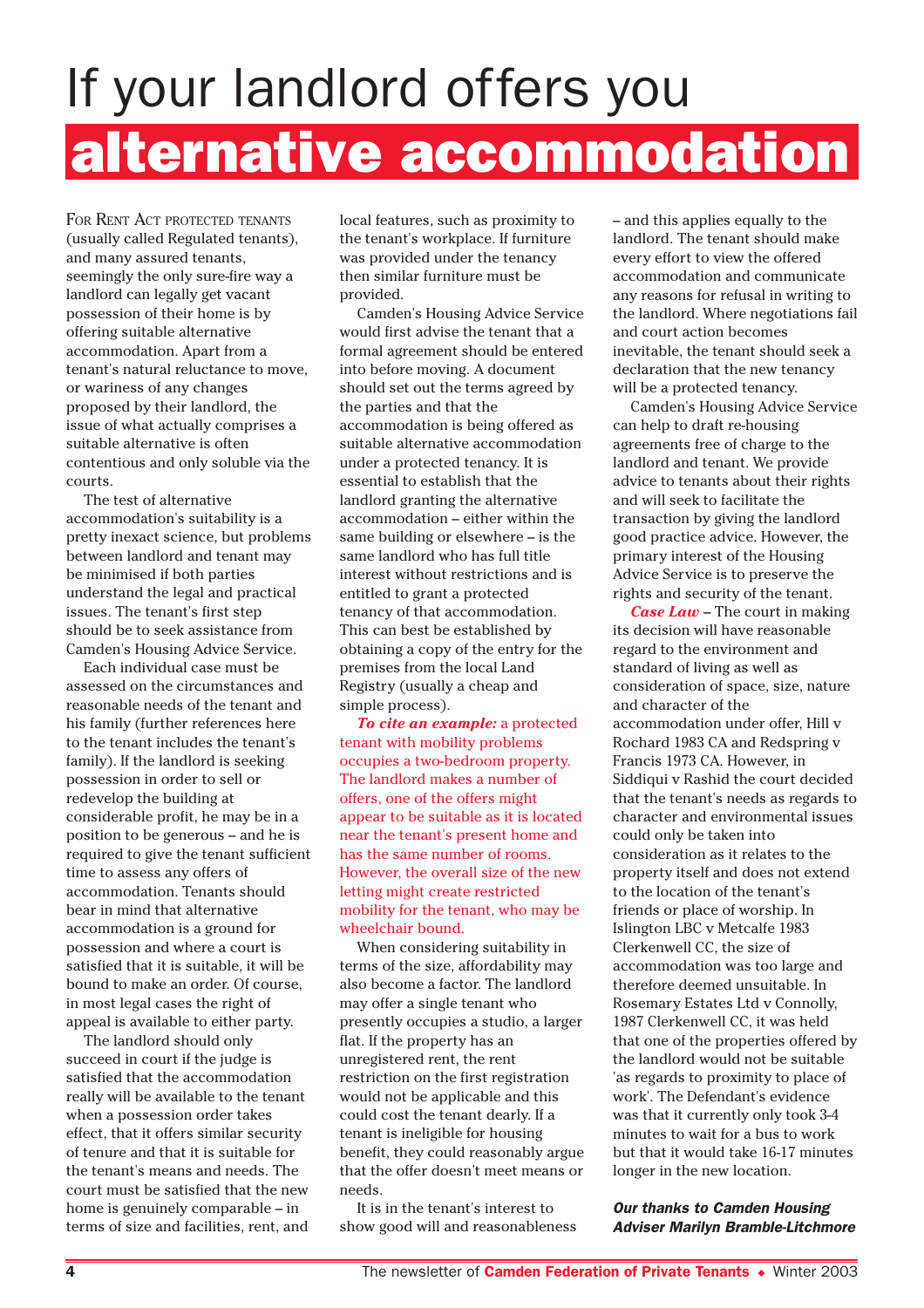# If your landlord offers you alternative accommodation

FOR RENT ACT PROTECTED TENANTS (usually called Regulated tenants), and many assured tenants, seemingly the only sure-fire way a landlord can legally get vacant possession of their home is by offering suitable alternative accommodation. Apart from a tenant's natural reluctance to move, or wariness of any changes proposed by their landlord, the issue of what actually comprises a suitable alternative is often contentious and only soluble via the courts.

The test of alternative accommodation's suitability is a pretty inexact science, but problems between landlord and tenant may be minimised if both parties understand the legal and practical issues. The tenant's first step should be to seek assistance from Camden's Housing Advice Service.

Each individual case must be assessed on the circumstances and reasonable needs of the tenant and his family (further references here to the tenant includes the tenant's family). If the landlord is seeking possession in order to sell or redevelop the building at considerable profit, he may be in a position to be generous – and he is required to give the tenant sufficient time to assess any offers of accommodation. Tenants should bear in mind that alternative accommodation is a ground for possession and where a court is satisfied that it is suitable, it will be bound to make an order. Of course, in most legal cases the right of appeal is available to either party.

The landlord should only succeed in court if the judge is satisfied that the accommodation really will be available to the tenant when a possession order takes effect, that it offers similar security of tenure and that it is suitable for the tenant's means and needs. The court must be satisfied that the new home is genuinely comparable – in terms of size and facilities, rent, and local features, such as proximity to the tenant's workplace. If furniture was provided under the tenancy then similar furniture must be provided.

Camden's Housing Advice Service would first advise the tenant that a formal agreement should be entered into before moving. A document should set out the terms agreed by the parties and that the accommodation is being offered as suitable alternative accommodation under a protected tenancy. It is essential to establish that the landlord granting the alternative accommodation – either within the same building or elsewhere – is the same landlord who has full title interest without restrictions and is entitled to grant a protected tenancy of that accommodation. This can best be established by obtaining a copy of the entry for the premises from the local Land Registry (usually a cheap and simple process).

*To cite an example:* a protected tenant with mobility problems occupies a two-bedroom property. The landlord makes a number of offers, one of the offers might appear to be suitable as it is located near the tenant's present home and has the same number of rooms. However, the overall size of the new letting might create restricted mobility for the tenant, who may be wheelchair bound.

When considering suitability in terms of the size, affordability may also become a factor. The landlord may offer a single tenant who presently occupies a studio, a larger flat. If the property has an unregistered rent, the rent restriction on the first registration would not be applicable and this could cost the tenant dearly. If a tenant is ineligible for housing benefit, they could reasonably argue that the offer doesn't meet means or needs.

It is in the tenant's interest to show good will and reasonableness – and this applies equally to the landlord. The tenant should make every effort to view the offered accommodation and communicate any reasons for refusal in writing to the landlord. Where negotiations fail and court action becomes inevitable, the tenant should seek a declaration that the new tenancy will be a protected tenancy.

Camden's Housing Advice Service can help to draft re-housing agreements free of charge to the landlord and tenant. We provide advice to tenants about their rights and will seek to facilitate the transaction by giving the landlord good practice advice. However, the primary interest of the Housing Advice Service is to preserve the rights and security of the tenant.

*Case Law* – The court in making its decision will have reasonable regard to the environment and standard of living as well as consideration of space, size, nature and character of the accommodation under offer, Hill v Rochard 1983 CA and Redspring v Francis 1973 CA. However, in Siddiqui v Rashid the court decided that the tenant's needs as regards to character and environmental issues could only be taken into consideration as it relates to the property itself and does not extend to the location of the tenant's friends or place of worship. In Islington LBC v Metcalfe 1983 Clerkenwell CC, the size of accommodation was too large and therefore deemed unsuitable. In Rosemary Estates Ltd v Connolly, 1987 Clerkenwell CC, it was held that one of the properties offered by the landlord would not be suitable 'as regards to proximity to place of work'. The Defendant's evidence was that it currently only took 3-4 minutes to wait for a bus to work but that it would take 16-17 minutes longer in the new location.

Our thanks to Camden Housing Adviser Marilyn Bramble-Litchmore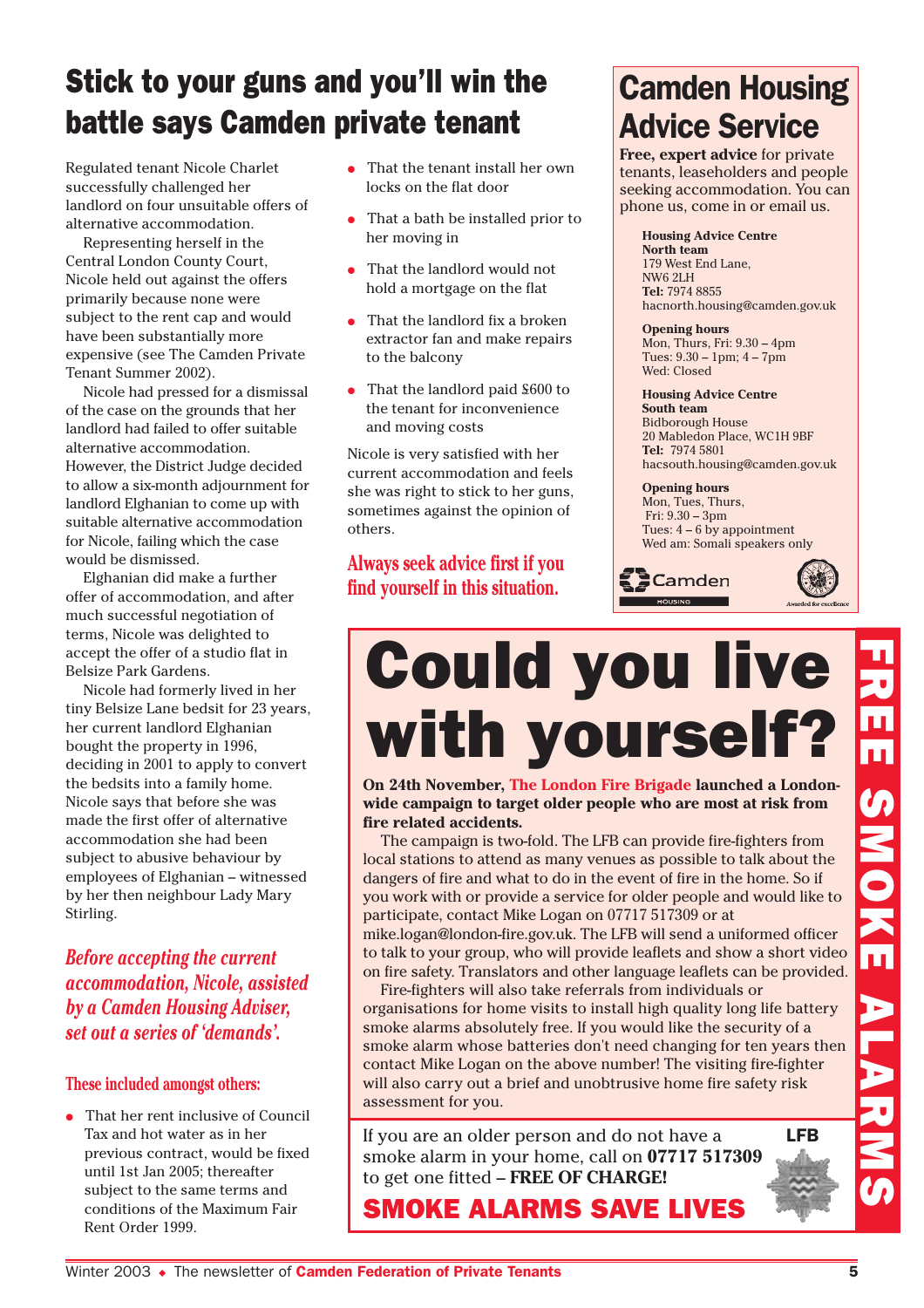# Stick to your guns and you'll win the battle says Camden private tenant

Regulated tenant Nicole Charlet successfully challenged her landlord on four unsuitable offers of alternative accommodation.

Representing herself in the Central London County Court, Nicole held out against the offers primarily because none were subject to the rent cap and would have been substantially more expensive (see The Camden Private Tenant Summer 2002).

Nicole had pressed for a dismissal of the case on the grounds that her landlord had failed to offer suitable alternative accommodation. However, the District Judge decided to allow a six-month adjournment for landlord Elghanian to come up with suitable alternative accommodation for Nicole, failing which the case would be dismissed.

Elghanian did make a further offer of accommodation, and after much successful negotiation of terms, Nicole was delighted to accept the offer of a studio flat in Belsize Park Gardens.

Nicole had formerly lived in her tiny Belsize Lane bedsit for 23 years, her current landlord Elghanian bought the property in 1996, deciding in 2001 to apply to convert the bedsits into a family home. Nicole says that before she was made the first offer of alternative accommodation she had been subject to abusive behaviour by employees of Elghanian – witnessed by her then neighbour Lady Mary Stirling.

*Before accepting the current accommodation, Nicole, assisted by a Camden Housing Adviser, set out a series of 'demands'.*

#### **These included amongst others:**

 That her rent inclusive of Council Tax and hot water as in her previous contract, would be fixed until 1st Jan 2005; thereafter subject to the same terms and conditions of the Maximum Fair Rent Order 1999.

- That the tenant install her own locks on the flat door
- That a bath be installed prior to her moving in
- That the landlord would not hold a mortgage on the flat
- That the landlord fix a broken extractor fan and make repairs to the balcony
- That the landlord paid  $$600$  to the tenant for inconvenience and moving costs

Nicole is very satisfied with her current accommodation and feels she was right to stick to her guns, sometimes against the opinion of others.

**Always seek advice first if you find yourself in this situation.**

# Camden Housing Advice Service

**Free, expert advice** for private tenants, leaseholders and people seeking accommodation. You can phone us, come in or email us.

**Housing Advice Centre North team** 179 West End Lane, NW6 2LH **Tel:** 7974 8855 hacnorth.housing@camden.gov.uk

**Opening hours** Mon, Thurs, Fri: 9.30 – 4pm Tues: 9.30 – 1pm; 4 – 7pm Wed: Closed

**Housing Advice Centre South team** Bidborough House 20 Mabledon Place, WC1H 9BF **Tel:** 7974 5801 hacsouth.housing@camden.gov.uk

**Opening hours** Mon, Tues, Thurs, Fri: 9.30 – 3pm Tues: 4 – 6 by appointment Wed am: Somali speakers only





# Could you live with yourself?

**On 24th November, The London Fire Brigade launched a Londonwide campaign to target older people who are most at risk from fire related accidents.**

The campaign is two-fold. The LFB can provide fire-fighters from local stations to attend as many venues as possible to talk about the dangers of fire and what to do in the event of fire in the home. So if you work with or provide a service for older people and would like to participate, contact Mike Logan on 07717 517309 or at mike.logan@london-fire.gov.uk. The LFB will send a uniformed officer

to talk to your group, who will provide leaflets and show a short video on fire safety. Translators and other language leaflets can be provided. Fire-fighters will also take referrals from individuals or

organisations for home visits to install high quality long life battery smoke alarms absolutely free. If you would like the security of a smoke alarm whose batteries don't need changing for ten years then contact Mike Logan on the above number! The visiting fire-fighter will also carry out a brief and unobtrusive home fire safety risk assessment for you.

If you are an older person and do not have a smoke alarm in your home, call on **07717 517309** to get one fitted – **FREE OF CHARGE!**

SMOKE ALARMS SAVE LIVES

LFB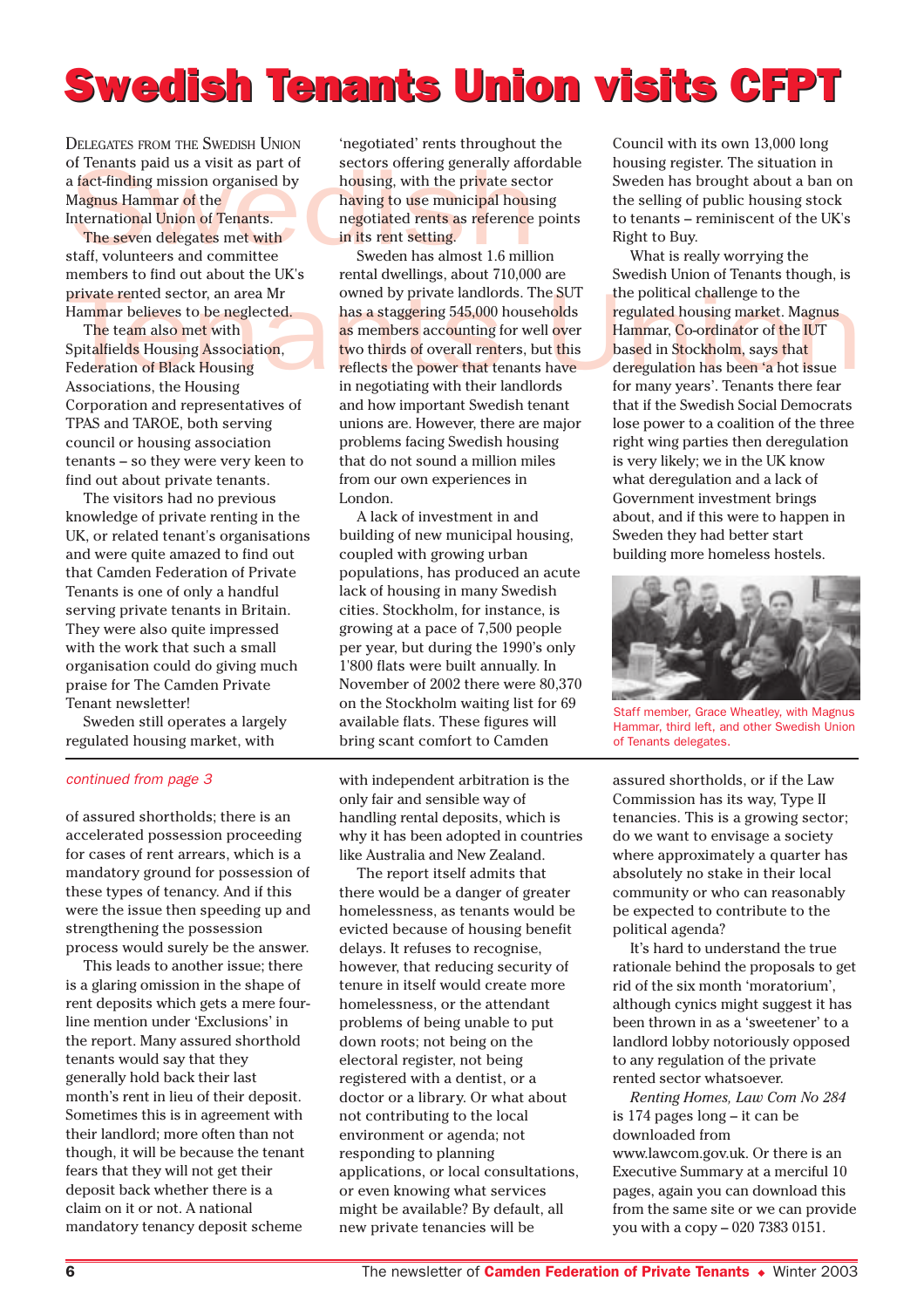# **Swedish Tenants Union visits CFPT**

DELEGATES FROM THE SWEDISH UNION of Tenants paid us a visit as part of a fact-finding mission organised by Magnus Hammar of the International Union of Tenants.

The seven delegates met with staff, volunteers and committee members to find out about the UK's private rented sector, an area Mr Hammar believes to be neglected.

The team also met with Spitalfields Housing Association, Federation of Black Housing Associations, the Housing Corporation and representatives of TPAS and TAROE, both serving council or housing association tenants – so they were very keen to find out about private tenants.

The visitors had no previous knowledge of private renting in the UK, or related tenant's organisations and were quite amazed to find out that Camden Federation of Private Tenants is one of only a handful serving private tenants in Britain. They were also quite impressed with the work that such a small organisation could do giving much praise for The Camden Private Tenant newsletter!

Sweden still operates a largely regulated housing market, with

#### continued from page 3

of assured shortholds; there is an accelerated possession proceeding for cases of rent arrears, which is a mandatory ground for possession of these types of tenancy. And if this were the issue then speeding up and strengthening the possession process would surely be the answer.

This leads to another issue; there is a glaring omission in the shape of rent deposits which gets a mere fourline mention under 'Exclusions' in the report. Many assured shorthold tenants would say that they generally hold back their last month's rent in lieu of their deposit. Sometimes this is in agreement with their landlord; more often than not though, it will be because the tenant fears that they will not get their deposit back whether there is a claim on it or not. A national mandatory tenancy deposit scheme

DELEGATES FROM THE SWEDISH UNION "negotiated" rents throughout<br>of Tenants paid us a visit as part of sectors offering generally affor<br>a fact-finding mission organised by housing, with the private sect<br>Magnus Hammar of the 'negotiated' rents throughout the sectors offering generally affordable housing, with the private sector having to use municipal housing negotiated rents as reference points in its rent setting.

members to find out about the UK's<br>
private rented sector, an area Mr and a sometimes are all the state of the state of the main believes to be neglected.<br>
The team also met with<br>
Spitalfields Housing Association, and the Sweden has almost 1.6 million rental dwellings, about 710,000 are owned by private landlords. The SUT has a staggering 545,000 households as members accounting for well over two thirds of overall renters, but this reflects the power that tenants have in negotiating with their landlords and how important Swedish tenant unions are. However, there are major problems facing Swedish housing that do not sound a million miles from our own experiences in London.

> A lack of investment in and building of new municipal housing, coupled with growing urban populations, has produced an acute lack of housing in many Swedish cities. Stockholm, for instance, is growing at a pace of 7,500 people per year, but during the 1990's only 1'800 flats were built annually. In November of 2002 there were 80,370 on the Stockholm waiting list for 69 available flats. These figures will bring scant comfort to Camden

> with independent arbitration is the only fair and sensible way of handling rental deposits, which is why it has been adopted in countries like Australia and New Zealand.

> The report itself admits that there would be a danger of greater homelessness, as tenants would be evicted because of housing benefit delays. It refuses to recognise, however, that reducing security of tenure in itself would create more homelessness, or the attendant problems of being unable to put down roots; not being on the electoral register, not being registered with a dentist, or a doctor or a library. Or what about not contributing to the local environment or agenda; not responding to planning applications, or local consultations, or even knowing what services might be available? By default, all new private tenancies will be

Council with its own 13,000 long housing register. The situation in Sweden has brought about a ban on the selling of public housing stock to tenants – reminiscent of the UK's Right to Buy.

What is really worrying the Swedish Union of Tenants though, is the political challenge to the regulated housing market. Magnus Hammar, Co-ordinator of the IUT based in Stockholm, says that deregulation has been 'a hot issue for many years'. Tenants there fear that if the Swedish Social Democrats lose power to a coalition of the three right wing parties then deregulation is very likely; we in the UK know what deregulation and a lack of Government investment brings about, and if this were to happen in Sweden they had better start building more homeless hostels.



Staff member, Grace Wheatley, with Magnus Hammar, third left, and other Swedish Union of Tenants delegates.

assured shortholds, or if the Law Commission has its way, Type II tenancies. This is a growing sector; do we want to envisage a society where approximately a quarter has absolutely no stake in their local community or who can reasonably be expected to contribute to the political agenda?

It's hard to understand the true rationale behind the proposals to get rid of the six month 'moratorium', although cynics might suggest it has been thrown in as a 'sweetener' to a landlord lobby notoriously opposed to any regulation of the private rented sector whatsoever.

*Renting Homes, Law Com No 284* is 174 pages long – it can be downloaded from www.lawcom.gov.uk. Or there is an Executive Summary at a merciful 10 pages, again you can download this from the same site or we can provide you with a copy – 020 7383 0151.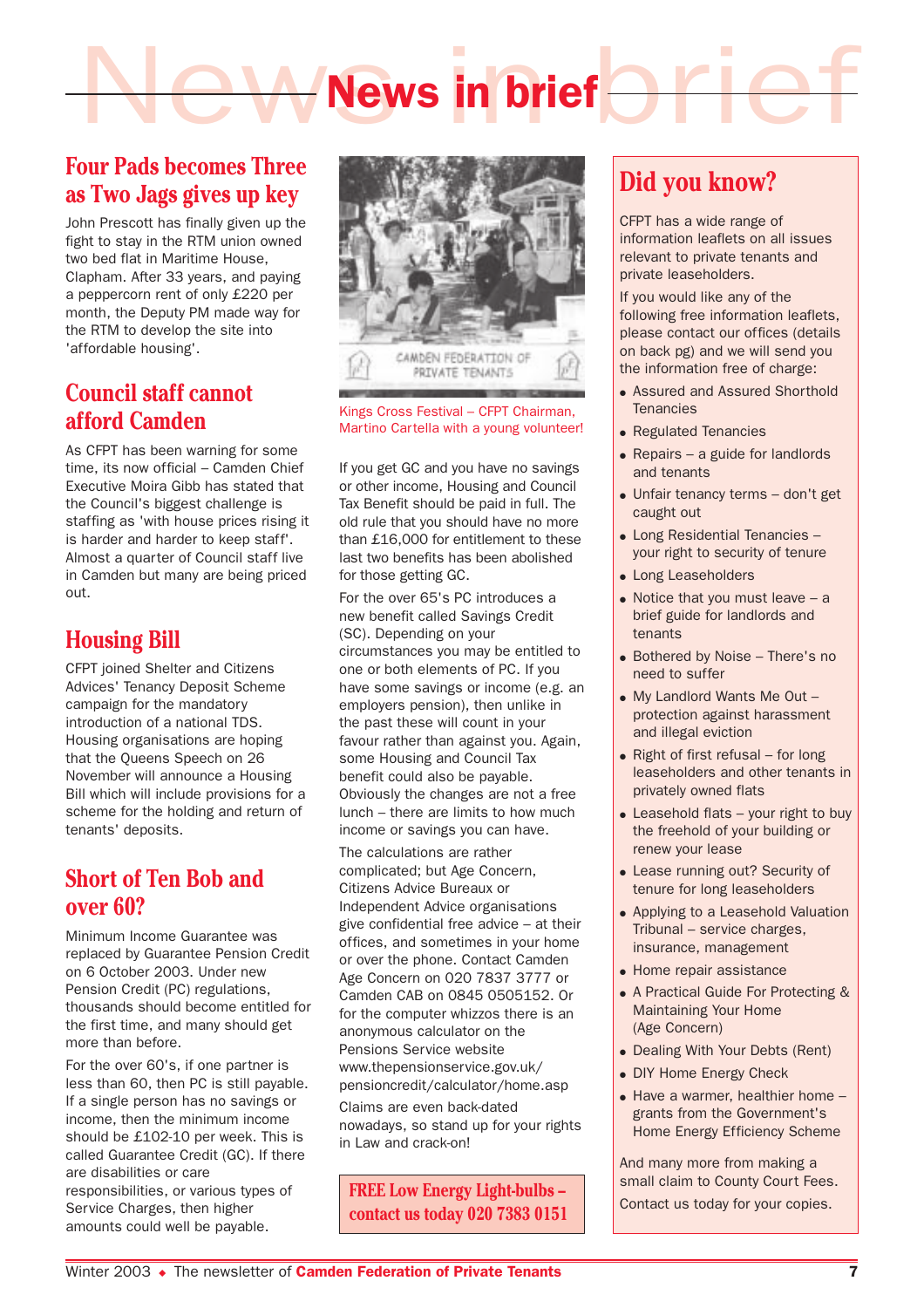# News in brief

# **Four Pads becomes Three as Two Jags gives up key**

John Prescott has finally given up the fight to stay in the RTM union owned two bed flat in Maritime House, Clapham. After 33 years, and paying a peppercorn rent of only £220 per month, the Deputy PM made way for the RTM to develop the site into 'affordable housing'.

# **Council staff cannot afford Camden**

As CFPT has been warning for some time, its now official – Camden Chief Executive Moira Gibb has stated that the Council's biggest challenge is staffing as 'with house prices rising it is harder and harder to keep staff'. Almost a quarter of Council staff live in Camden but many are being priced out.

# **Housing Bill**

CFPT joined Shelter and Citizens Advices' Tenancy Deposit Scheme campaign for the mandatory introduction of a national TDS. Housing organisations are hoping that the Queens Speech on 26 November will announce a Housing Bill which will include provisions for a scheme for the holding and return of tenants' deposits.

### **Short of Ten Bob and over 60?**

Minimum Income Guarantee was replaced by Guarantee Pension Credit on 6 October 2003. Under new Pension Credit (PC) regulations, thousands should become entitled for the first time, and many should get more than before.

For the over 60's, if one partner is less than 60, then PC is still payable. If a single person has no savings or income, then the minimum income should be £102-10 per week. This is called Guarantee Credit (GC). If there are disabilities or care responsibilities, or various types of Service Charges, then higher amounts could well be payable.



Kings Cross Festival – CFPT Chairman, Martino Cartella with a young volunteer!

If you get GC and you have no savings or other income, Housing and Council Tax Benefit should be paid in full. The old rule that you should have no more than £16,000 for entitlement to these last two benefits has been abolished for those getting GC.

For the over 65's PC introduces a new benefit called Savings Credit (SC). Depending on your circumstances you may be entitled to one or both elements of PC. If you have some savings or income (e.g. an employers pension), then unlike in the past these will count in your favour rather than against you. Again, some Housing and Council Tax benefit could also be payable. Obviously the changes are not a free lunch – there are limits to how much income or savings you can have.

The calculations are rather complicated; but Age Concern, Citizens Advice Bureaux or Independent Advice organisations give confidential free advice – at their offices, and sometimes in your home or over the phone. Contact Camden Age Concern on 020 7837 3777 or Camden CAB on 0845 0505152. Or for the computer whizzos there is an anonymous calculator on the Pensions Service website www.thepensionservice.gov.uk/ pensioncredit/calculator/home.asp

Claims are even back-dated nowadays, so stand up for your rights in Law and crack-on!

**FREE Low Energy Light-bulbs – contact us today 020 7383 0151**

# **Did you know?**

CFPT has a wide range of information leaflets on all issues relevant to private tenants and private leaseholders.

If you would like any of the following free information leaflets, please contact our offices (details on back pg) and we will send you the information free of charge:

- **Assured and Assured Shorthold Tenancies**
- Regulated Tenancies
- Repairs a guide for landlords and tenants
- Unfair tenancy terms don't get caught out
- Long Residential Tenancies your right to security of tenure
- Long Leaseholders
- $\bullet$  Notice that you must leave  $-$  a brief guide for landlords and tenants
- Bothered by Noise There's no need to suffer
- My Landlord Wants Me Out protection against harassment and illegal eviction
- Right of first refusal for long leaseholders and other tenants in privately owned flats
- Leasehold flats your right to buy the freehold of your building or renew your lease
- Lease running out? Security of tenure for long leaseholders
- Applying to a Leasehold Valuation Tribunal – service charges, insurance, management
- Home repair assistance
- A Practical Guide For Protecting & Maintaining Your Home (Age Concern)
- Dealing With Your Debts (Rent)
- DIY Home Energy Check
- Have a warmer, healthier home grants from the Government's Home Energy Efficiency Scheme

And many more from making a small claim to County Court Fees.

Contact us today for your copies.